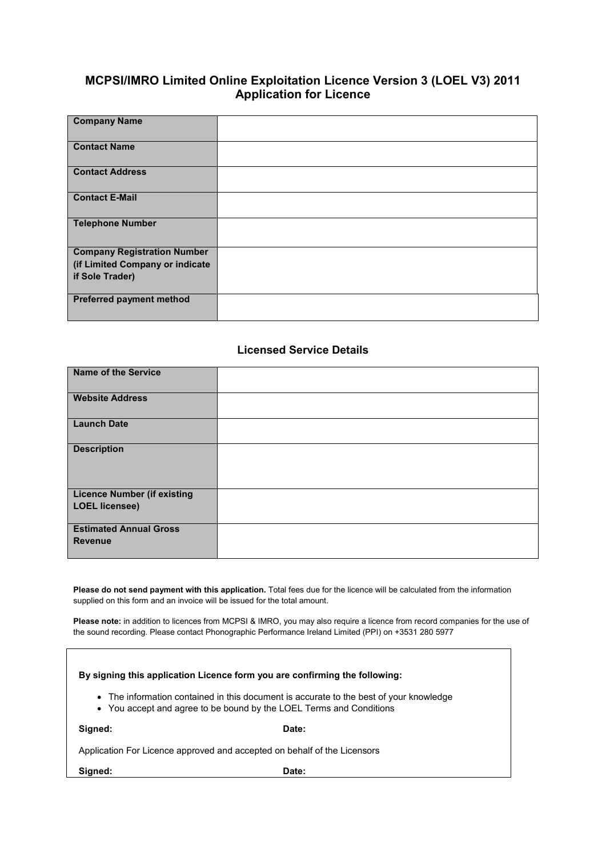# **MCPSI/IMRO Limited Online Exploitation Licence Version 3 (LOEL V3) 2011 Application for Licence**

| <b>Company Name</b>                |  |
|------------------------------------|--|
|                                    |  |
|                                    |  |
| <b>Contact Name</b>                |  |
|                                    |  |
|                                    |  |
|                                    |  |
| <b>Contact Address</b>             |  |
|                                    |  |
|                                    |  |
|                                    |  |
| <b>Contact E-Mail</b>              |  |
|                                    |  |
|                                    |  |
| <b>Telephone Number</b>            |  |
|                                    |  |
|                                    |  |
|                                    |  |
| <b>Company Registration Number</b> |  |
|                                    |  |
| (if Limited Company or indicate    |  |
| if Sole Trader)                    |  |
|                                    |  |
|                                    |  |
| <b>Preferred payment method</b>    |  |
|                                    |  |
|                                    |  |
|                                    |  |

#### **Licensed Service Details**

| <b>Name of the Service</b>                                  |  |
|-------------------------------------------------------------|--|
| <b>Website Address</b>                                      |  |
| <b>Launch Date</b>                                          |  |
| <b>Description</b>                                          |  |
| <b>Licence Number (if existing</b><br><b>LOEL licensee)</b> |  |
| <b>Estimated Annual Gross</b><br><b>Revenue</b>             |  |

**Please do not send payment with this application.** Total fees due for the licence will be calculated from the information supplied on this form and an invoice will be issued for the total amount.

**Please note:** in addition to licences from MCPSI & IMRO, you may also require a licence from record companies for the use of the sound recording. Please contact Phonographic Performance Ireland Limited (PPI) on +3531 280 5977

| By signing this application Licence form you are confirming the following:                                                                                    |       |  |  |  |  |
|---------------------------------------------------------------------------------------------------------------------------------------------------------------|-------|--|--|--|--|
| • The information contained in this document is accurate to the best of your knowledge<br>• You accept and agree to be bound by the LOEL Terms and Conditions |       |  |  |  |  |
| Signed:                                                                                                                                                       | Date: |  |  |  |  |
| Application For Licence approved and accepted on behalf of the Licensors                                                                                      |       |  |  |  |  |
| Signed:                                                                                                                                                       | Date: |  |  |  |  |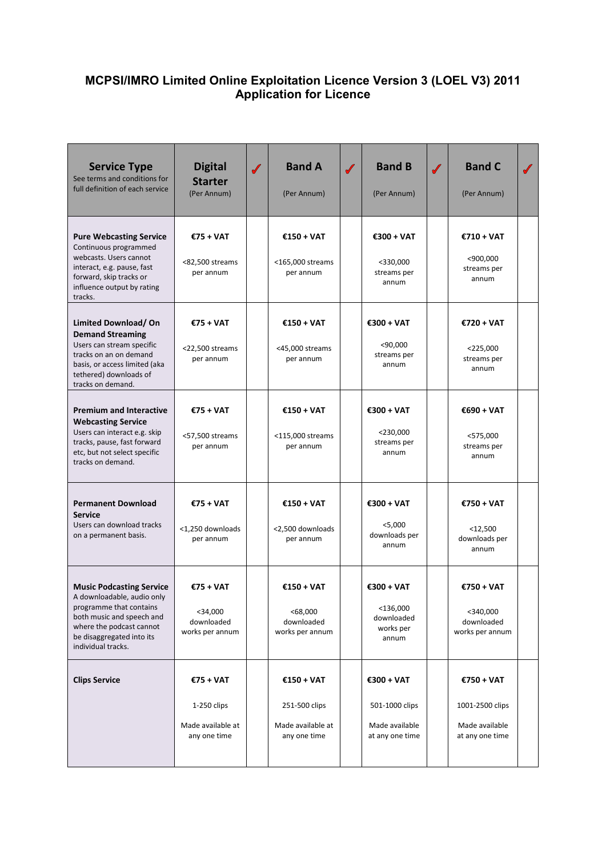# **MCPSI/IMRO Limited Online Exploitation Licence Version 3 (LOEL V3) 2011 Application for Licence**

| <b>Service Type</b><br>See terms and conditions for<br>full definition of each service                                                                                                               | <b>Digital</b><br><b>Starter</b><br>(Per Annum)                 | $\checkmark$ | <b>Band A</b><br>(Per Annum)                                       | $\checkmark$ | <b>Band B</b><br>(Per Annum)                                        | $\checkmark$ | <b>Band C</b><br>(Per Annum)                                       | $\checkmark$ |
|------------------------------------------------------------------------------------------------------------------------------------------------------------------------------------------------------|-----------------------------------------------------------------|--------------|--------------------------------------------------------------------|--------------|---------------------------------------------------------------------|--------------|--------------------------------------------------------------------|--------------|
| <b>Pure Webcasting Service</b><br>Continuous programmed<br>webcasts. Users cannot<br>interact, e.g. pause, fast<br>forward, skip tracks or<br>influence output by rating<br>tracks.                  | €75 + VAT<br><82,500 streams<br>per annum                       |              | €150 + VAT<br><165,000 streams<br>per annum                        |              | €300 + VAT<br>$<$ 330,000<br>streams per<br>annum                   |              | €710 + VAT<br>$<$ 900,000<br>streams per<br>annum                  |              |
| Limited Download/On<br><b>Demand Streaming</b><br>Users can stream specific<br>tracks on an on demand<br>basis, or access limited (aka<br>tethered) downloads of<br>tracks on demand.                | €75 + VAT<br><22,500 streams<br>per annum                       |              | $£150 + VAT$<br><45,000 streams<br>per annum                       |              | €300 + VAT<br>$<$ 90,000<br>streams per<br>annum                    |              | €720 + VAT<br>$<$ 225,000<br>streams per<br>annum                  |              |
| <b>Premium and Interactive</b><br><b>Webcasting Service</b><br>Users can interact e.g. skip<br>tracks, pause, fast forward<br>etc, but not select specific<br>tracks on demand.                      | €75 + VAT<br><57,500 streams<br>per annum                       |              | $£150 + VAT$<br><115,000 streams<br>per annum                      |              | €300 + VAT<br>$<$ 230,000<br>streams per<br>annum                   |              | $€690 + VAT$<br>$<$ 575,000<br>streams per<br>annum                |              |
| <b>Permanent Download</b><br><b>Service</b><br>Users can download tracks<br>on a permanent basis.                                                                                                    | €75 + VAT<br><1,250 downloads<br>per annum                      |              | $£150 + VAT$<br><2,500 downloads<br>per annum                      |              | €300 + VAT<br>$<$ 5,000<br>downloads per<br>annum                   |              | €750 + VAT<br>$<$ 12,500<br>downloads per<br>annum                 |              |
| <b>Music Podcasting Service</b><br>A downloadable, audio only<br>programme that contains<br>both music and speech and<br>where the podcast cannot<br>be disaggregated into its<br>individual tracks. | €75 + VAT<br>$<$ 34,000<br>downloaded<br>works per annum        |              | €150 + VAT<br><68,000<br>downloaded<br>works per annum             |              | €300 + VAT<br>$<$ 136,000<br>downloaded<br>works per<br>annum       |              | €750 + VAT<br>$<$ 340,000<br>downloaded<br>works per annum         |              |
| <b>Clips Service</b>                                                                                                                                                                                 | €75 + VAT<br>$1-250$ clips<br>Made available at<br>any one time |              | $£150 + VAT$<br>251-500 clips<br>Made available at<br>any one time |              | $£300 + VAT$<br>501-1000 clips<br>Made available<br>at any one time |              | €750 + VAT<br>1001-2500 clips<br>Made available<br>at any one time |              |